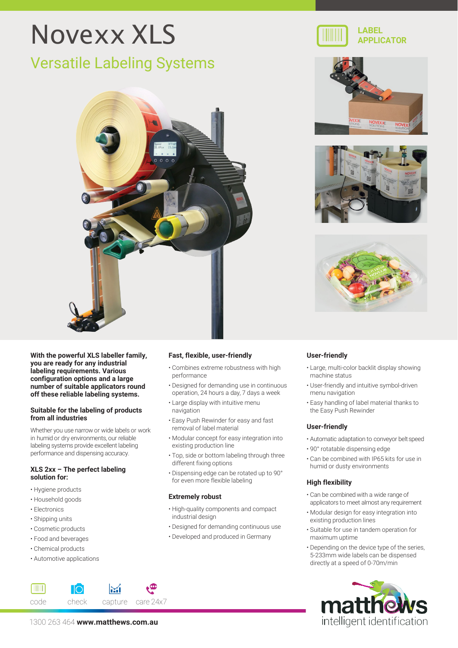# Novexx XLS

## Versatile Labeling Systems



**LABEL APPLICATOR**







**With the powerful XLS labeller family, you are ready for any industrial labeling requirements. Various configuration options and a large number of suitable applicators round off these reliable labeling systems.**

#### **Suitable for the labeling of products from all industries**

Whether you use narrow or wide labels or work in humid or dry environments, our reliable labeling systems provide excellent labeling performance and dispensing accuracy.

#### **XLS 2xx – The perfect labeling solution for:**

- Hygiene products
- Household goods
- Electronics

**TITULE** 

- Shipping units
- Cosmetic products
- Food and beverages
- Chemical products
- Automotive applications

#### **Fast, flexible, user-friendly**

- Combines extreme robustness with high performance
- Designed for demanding use in continuous operation, 24 hours a day, 7 days a week
- Large display with intuitive menu navigation
- Easy Push Rewinder for easy and fast removal of label material
- Modular concept for easy integration into existing production line
- Top, side or bottom labeling through three different fixing options
- Dispensing edge can be rotated up to 90° for even more flexible labeling

#### **Extremely robust**

- High-quality components and compact industrial design
- Designed for demanding continuous use
- Developed and produced in Germany

#### **User-friendly**

- Large, multi-color backlit display showing machine status
- User-friendly and intuitive symbol-driven menu navigation
- Easy handling of label material thanks to the Easy Push Rewinder

#### **User-friendly**

- Automatic adaptation to conveyor beltspeed
- 90° rotatable dispensing edge
- Can be combined with IP65 kits for use in humid or dusty environments

#### **High flexibility**

- Can be combined with a wide range of applicators to meet almost any requirement
- Modular design for easy integration into existing production lines
- Suitable for use in tandem operation for maximum uptime
- Depending on the device type of the series, 5-233mm wide labels can be dispensed directly at a speed of 0-70m/min



code check capture care 24x7 1300 263 464 **[www.matthews.com.au](http://www.matthews.com.au/)**